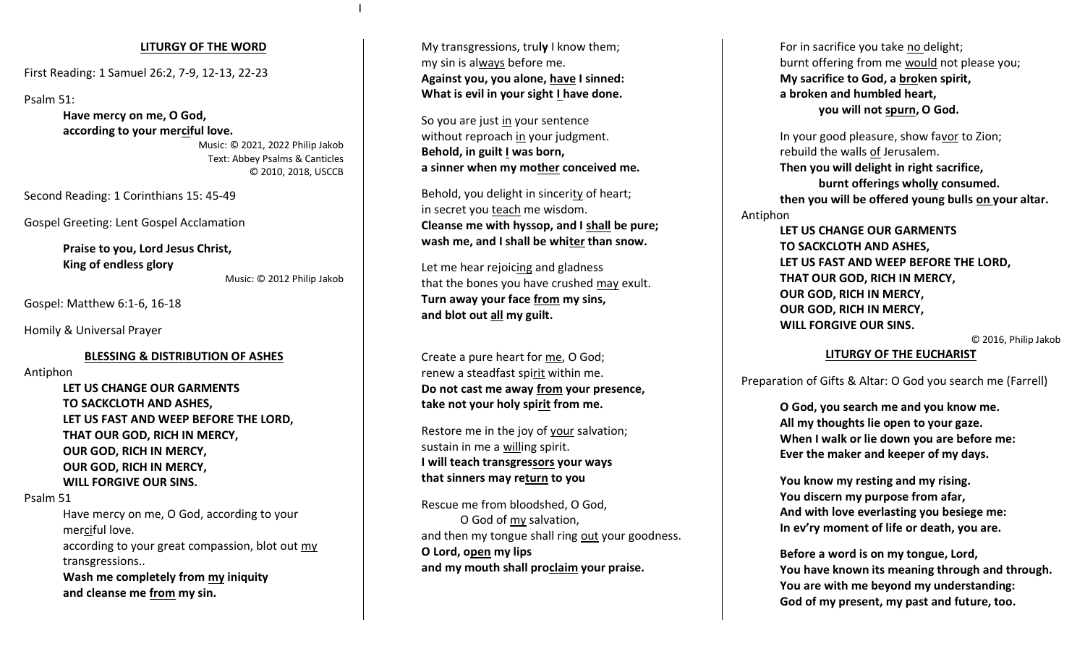### **LITURGY OF THE WORD**

First Reading: 1 Samuel 26:2, 7-9, 12-13, 22-23

Psalm 51:

**Have mercy on me, O God, according to your merciful love.**

Music: © 2021, 2022 Philip Jakob Text: Abbey Psalms & Canticles © 2010, 2018, USCCB

Second Reading: 1 Corinthians 15: 45-49

Gospel Greeting: Lent Gospel Acclamation

**Praise to you, Lord Jesus Christ, King of endless glory**

Music: © 2012 Philip Jakob

Gospel: Matthew 6:1-6, 16-18

Homily & Universal Prayer

### **BLESSING & DISTRIBUTION OF ASHES**

Antiphon

**LET US CHANGE OUR GARMENTS TO SACKCLOTH AND ASHES, LET US FAST AND WEEP BEFORE THE LORD, THAT OUR GOD, RICH IN MERCY, OUR GOD, RICH IN MERCY, OUR GOD, RICH IN MERCY, WILL FORGIVE OUR SINS.**

#### Psalm 51

Have mercy on me, O God, according to your merciful love. according to your great compassion, blot out my transgressions.. **Wash me completely from my iniquity**

**and cleanse me from my sin.**

My transgressions, tru**ly** I know them; my sin is always before me. **Against you, you alone, have I sinned: What is evil in your sight I have done.**

So you are just in your sentence without reproach in your judgment. **Behold, in guilt I was born, a sinner when my mother conceived me.**

Behold, you delight in sincerity of heart; in secret you teach me wisdom. **Cleanse me with hyssop, and I shall be pure; wash me, and I shall be whiter than snow.**

Let me hear rejoicing and gladness that the bones you have crushed may exult. **Turn away your face from my sins, and blot out all my guilt.**

Create a pure heart for me, O God; renew a steadfast spirit within me. **Do not cast me away from your presence, take not your holy spirit from me.**

Restore me in the joy of your salvation; sustain in me a willing spirit. **I will teach transgressors your ways that sinners may return to you**

Rescue me from bloodshed, O God, O God of my salvation, and then my tongue shall ring out your goodness. **O Lord, open my lips and my mouth shall proclaim your praise.**

For in sacrifice you take no delight; burnt offering from me would not please you; **My sacrifice to God, a broken spirit, a broken and humbled heart, you will not spurn, O God.**

In your good pleasure, show favor to Zion; rebuild the walls of Jerusalem. **Then you will delight in right sacrifice, burnt offerings wholly consumed. then you will be offered young bulls on your altar.** Antiphon

> **LET US CHANGE OUR GARMENTS TO SACKCLOTH AND ASHES, LET US FAST AND WEEP BEFORE THE LORD, THAT OUR GOD, RICH IN MERCY, OUR GOD, RICH IN MERCY, OUR GOD, RICH IN MERCY, WILL FORGIVE OUR SINS.**

> > © 2016, Philip Jakob

## **LITURGY OF THE EUCHARIST**

Preparation of Gifts & Altar: O God you search me (Farrell)

**O God, you search me and you know me. All my thoughts lie open to your gaze. When I walk or lie down you are before me: Ever the maker and keeper of my days.**

**You know my resting and my rising. You discern my purpose from afar, And with love everlasting you besiege me: In ev'ry moment of life or death, you are.**

**Before a word is on my tongue, Lord, You have known its meaning through and through. You are with me beyond my understanding: God of my present, my past and future, too.**

I